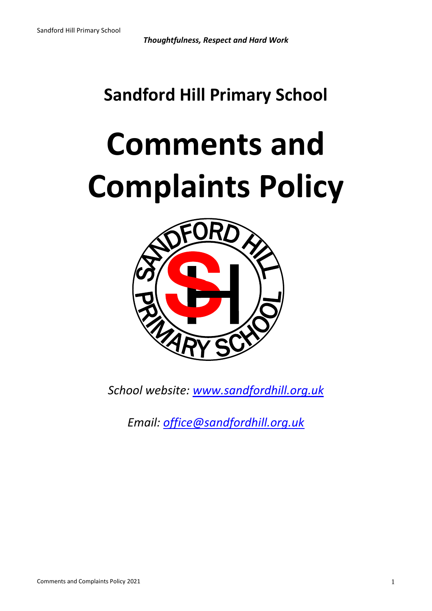*Thoughtfulness, Respect and Hard Work*

## **Sandford Hill Primary School**

# **Comments and Complaints Policy**



*School website: [www.sandfordhill.org.uk](http://www.sandfordhill.org.uk/)*

*Email: [office@sandfordhill.org.uk](mailto:office@sandfordhill.org.uk)*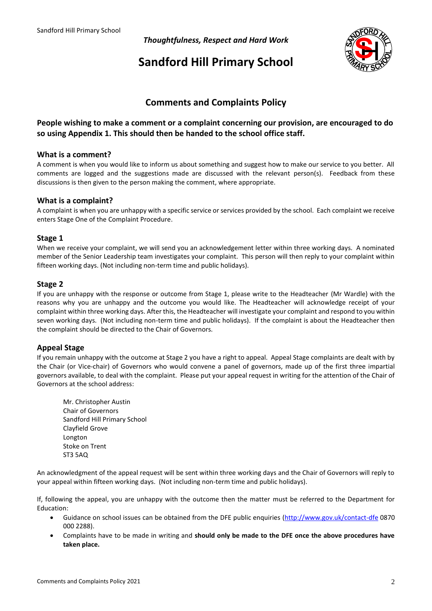*Thoughtfulness, Respect and Hard Work*

### **Sandford Hill Primary School**



#### **Comments and Complaints Policy**

#### **People wishing to make a comment or a complaint concerning our provision, are encouraged to do so using Appendix 1. This should then be handed to the school office staff.**

#### **What is a comment?**

A comment is when you would like to inform us about something and suggest how to make our service to you better. All comments are logged and the suggestions made are discussed with the relevant person(s). Feedback from these discussions is then given to the person making the comment, where appropriate.

#### **What is a complaint?**

A complaint is when you are unhappy with a specific service or services provided by the school. Each complaint we receive enters Stage One of the Complaint Procedure.

#### **Stage 1**

When we receive your complaint, we will send you an acknowledgement letter within three working days. A nominated member of the Senior Leadership team investigates your complaint. This person will then reply to your complaint within fifteen working days. (Not including non-term time and public holidays).

#### **Stage 2**

If you are unhappy with the response or outcome from Stage 1, please write to the Headteacher (Mr Wardle) with the reasons why you are unhappy and the outcome you would like. The Headteacher will acknowledge receipt of your complaint within three working days. After this, the Headteacher will investigate your complaint and respond to you within seven working days. (Not including non-term time and public holidays). If the complaint is about the Headteacher then the complaint should be directed to the Chair of Governors.

#### **Appeal Stage**

If you remain unhappy with the outcome at Stage 2 you have a right to appeal. Appeal Stage complaints are dealt with by the Chair (or Vice-chair) of Governors who would convene a panel of governors, made up of the first three impartial governors available, to deal with the complaint. Please put your appeal request in writing for the attention of the Chair of Governors at the school address:

Mr. Christopher Austin Chair of Governors Sandford Hill Primary School Clayfield Grove Longton Stoke on Trent ST3 5AQ

An acknowledgment of the appeal request will be sent within three working days and the Chair of Governors will reply to your appeal within fifteen working days. (Not including non-term time and public holidays).

If, following the appeal, you are unhappy with the outcome then the matter must be referred to the Department for Education:

- Guidance on school issues can be obtained from the DFE public enquiries [\(http://www.gov.uk/contact-dfe](http://www.gov.uk/contact-dfe) 0870 000 2288).
- Complaints have to be made in writing and **should only be made to the DFE once the above procedures have taken place.**